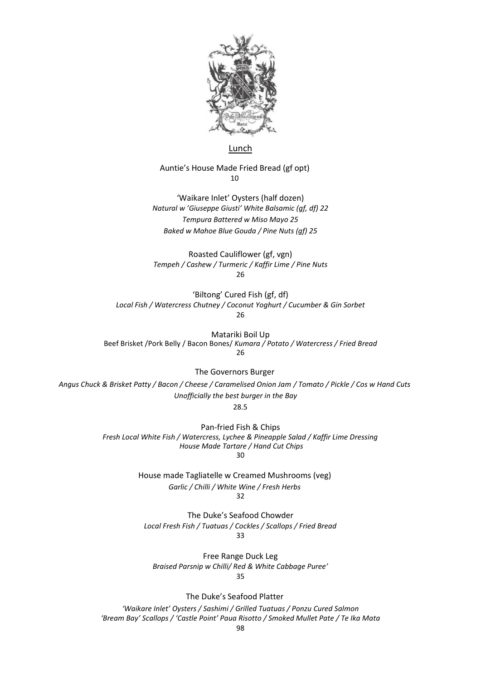

#### Lunch

#### Auntie's House Made Fried Bread (gf opt)  $1<sub>0</sub>$

'Waikare Inlet' Oysters (half dozen) *Natural w 'Giuseppe Giusti' White Balsamic (gf, df) 22 Tempura Battered w Miso Mayo 25 Baked w Mahoe Blue Gouda / Pine Nuts (gf) 25*

Roasted Cauliflower (gf, vgn) *Tempeh / Cashew / Turmeric / Kaffir Lime / Pine Nuts* 26

'Biltong' Cured Fish (gf, df) *Local Fish / Watercress Chutney / Coconut Yoghurt / Cucumber & Gin Sorbet* 26

Matariki Boil Up Beef Brisket /Pork Belly / Bacon Bones/ *Kumara / Potato / Watercress / Fried Bread* 26

The Governors Burger

*Angus Chuck & Brisket Patty / Bacon / Cheese / Caramelised Onion Jam / Tomato / Pickle / Cos w Hand Cuts Unofficially the best burger in the Bay*

28.5

Pan-fried Fish & Chips *Fresh Local White Fish / Watercress, Lychee & Pineapple Salad / Kaffir Lime Dressing House Made Tartare / Hand Cut Chips*  30

> House made Tagliatelle w Creamed Mushrooms (veg) *Garlic / Chilli / White Wine / Fresh Herbs*  $32$

The Duke's Seafood Chowder *Local Fresh Fish / Tuatuas / Cockles / Scallops / Fried Bread* 33

Free Range Duck Leg *Braised Parsnip w Chilli/ Red & White Cabbage Puree'* 35

The Duke's Seafood Platter

*'Waikare Inlet' Oysters / Sashimi / Grilled Tuatuas / Ponzu Cured Salmon 'Bream Bay' Scallops / 'Castle Point' Paua Risotto / Smoked Mullet Pate / Te Ika Mata*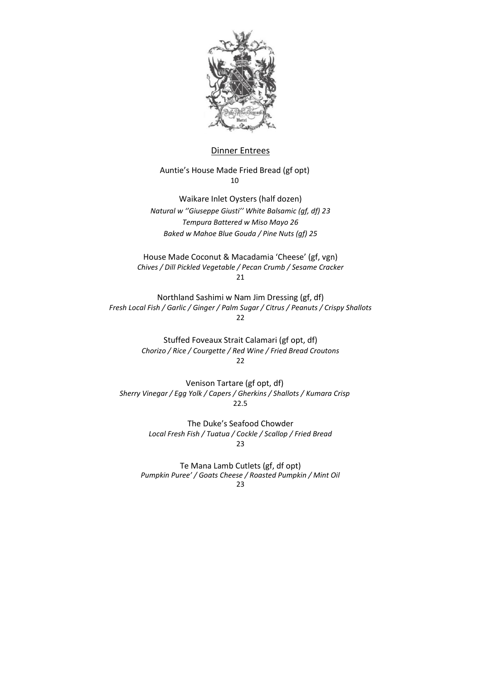

### Dinner Entrees

Auntie's House Made Fried Bread (gf opt) 10

Waikare Inlet Oysters (half dozen) *Natural w ''Giuseppe Giusti'' White Balsamic (gf, df) 23 Tempura Battered w Miso Mayo 26 Baked w Mahoe Blue Gouda / Pine Nuts (gf) 25*

House Made Coconut & Macadamia 'Cheese' (gf, vgn) *Chives / Dill Pickled Vegetable / Pecan Crumb / Sesame Cracker* 21

Northland Sashimi w Nam Jim Dressing (gf, df) *Fresh Local Fish / Garlic / Ginger / Palm Sugar / Citrus / Peanuts / Crispy Shallots* 22

> Stuffed Foveaux Strait Calamari (gf opt, df) *Chorizo / Rice / Courgette / Red Wine / Fried Bread Croutons* 22

Venison Tartare (gf opt, df) *Sherry Vinegar / Egg Yolk / Capers / Gherkins / Shallots / Kumara Crisp*  22.5

> The Duke's Seafood Chowder *Local Fresh Fish / Tuatua / Cockle / Scallop / Fried Bread* 23

Te Mana Lamb Cutlets (gf, df opt) *Pumpkin Puree' / Goats Cheese / Roasted Pumpkin / Mint Oil* 23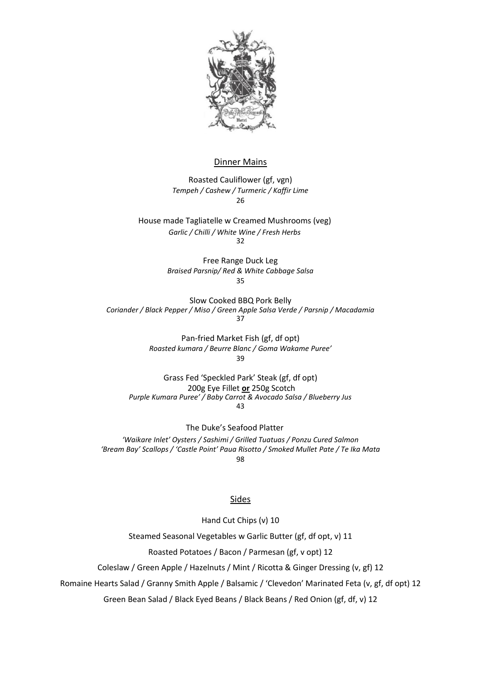

### Dinner Mains

Roasted Cauliflower (gf, vgn) *Tempeh / Cashew / Turmeric / Kaffir Lime* 26

House made Tagliatelle w Creamed Mushrooms (veg) *Garlic / Chilli / White Wine / Fresh Herbs* 32

> Free Range Duck Leg *Braised Parsnip/ Red & White Cabbage Salsa* 35

Slow Cooked BBQ Pork Belly *Coriander / Black Pepper / Miso / Green Apple Salsa Verde / Parsnip / Macadamia*  37

> Pan-fried Market Fish (gf, df opt) *Roasted kumara / Beurre Blanc / Goma Wakame Puree'* 39

Grass Fed 'Speckled Park' Steak (gf, df opt) 200g Eye Fillet **or** 250g Scotch *Purple Kumara Puree' / Baby Carrot & Avocado Salsa / Blueberry Jus* 43

The Duke's Seafood Platter *'Waikare Inlet' Oysters / Sashimi / Grilled Tuatuas / Ponzu Cured Salmon* 'Bream Bay' Scallops / 'Castle Point' Paua Risotto / Smoked Mullet Pate / Te Ika Mata 98

#### **Sides**

Hand Cut Chips (v) 10

Steamed Seasonal Vegetables w Garlic Butter (gf, df opt, v) 11

Roasted Potatoes / Bacon / Parmesan (gf, v opt) 12

Coleslaw / Green Apple / Hazelnuts / Mint / Ricotta & Ginger Dressing (v, gf) 12

Romaine Hearts Salad / Granny Smith Apple / Balsamic / 'Clevedon' Marinated Feta (v, gf, df opt) 12

Green Bean Salad / Black Eyed Beans / Black Beans / Red Onion (gf, df, v) 12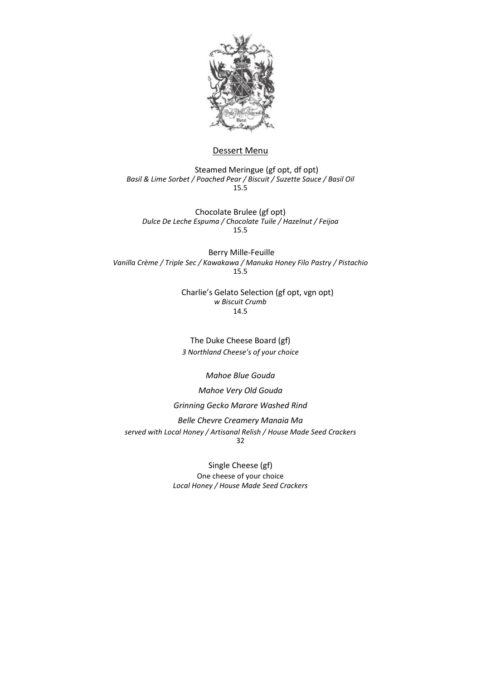

#### Dessert Menu

 Steamed Meringue (gf opt, df opt) *Basil & Lime Sorbet / Poached Pear / Biscuit / Suzette Sauce / Basil Oil*  15.5

Chocolate Brulee (gf opt) *Dulce De Leche Espuma / Chocolate Tuile / Hazelnut / Feijoa* 15.5

Berry Mille-Feuille *Vanilla Crème / Triple Sec / Kawakawa / Manuka Honey Filo Pastry / Pistachio* 15.5

> Charlie's Gelato Selection (gf opt, vgn opt) *w Biscuit Crumb* 14.5

The Duke Cheese Board (gf) *3 Northland Cheese's of your choice*

*Mahoe Blue Gouda*

*Mahoe Very Old Gouda* 

*Grinning Gecko Marore Washed Rind* 

*Belle Chevre Creamery Manaia Ma served with Local Honey / Artisanal Relish / House Made Seed Crackers*  32

> Single Cheese (gf) One cheese of your choice *Local Honey / House Made Seed Crackers*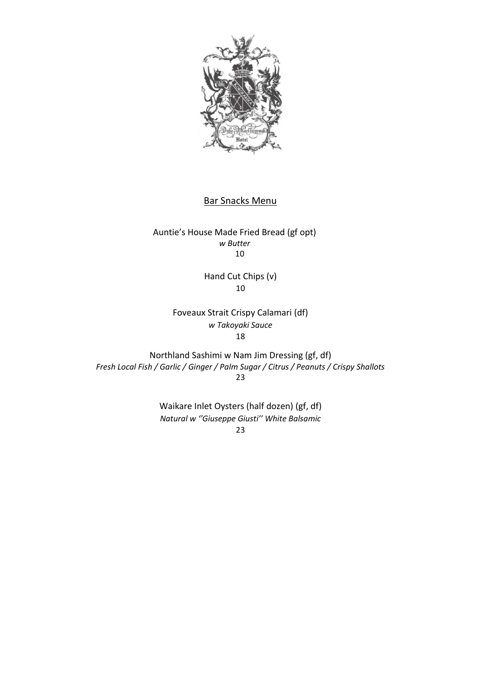

## Bar Snacks Menu

Auntie's House Made Fried Bread (gf opt) *w Butter*  10

> Hand Cut Chips (v) 10

Foveaux Strait Crispy Calamari (df) *w Takoyaki Sauce* 18

Northland Sashimi w Nam Jim Dressing (gf, df) *Fresh Local Fish / Garlic / Ginger / Palm Sugar / Citrus / Peanuts / Crispy Shallots* 23

> Waikare Inlet Oysters (half dozen) (gf, df) *Natural w ''Giuseppe Giusti'' White Balsamic*

23